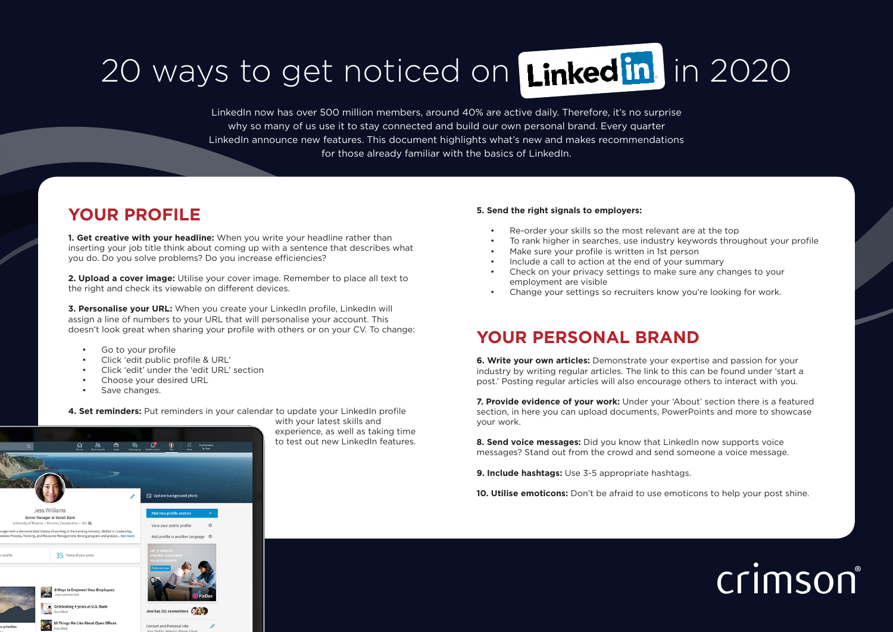## 20 ways to get noticed on Linked in in 2020

LinkedIn now has over 500 million members, around 40% are active daily. Therefore, it's no surprise why so many of us use it to stay connected and build our own personal brand. Every quarter LinkedIn announce new features. This document highlights what's new and makes recommendations for those already familiar with the basics of LinkedIn.

### **YOUR PROFILE**

**1. Get creative with your headline:** When you write your headline rather than inserting your job title think about coming up with a sentence that describes what you do. Do you solve problems? Do you increase efficiencies?

**2. Upload a cover image:** Utilise your cover image. Remember to place all text to the right and check its viewable on different devices.

**3. Personalise your URL:** When you create your LinkedIn profile, LinkedIn will assign a line of numbers to your URL that will personalise your account. This doesn't look great when sharing your profile with others or on your CV. To change:

- Go to your profile
- Click 'edit public profile & URL'
- Click 'edit' under the 'edit URL' section

**Following** Update background phote

View your public profil

Jess has 251 connections

Contact and Personal In

- Choose your desired URL
- Save changes.

loss Williams Senior Monggar of Dennii Ron ty of Toronto . Toronto Canada Area . 251 88

ted history of working in the banking industry. Skilled in Le hine, and Resource Management. Strong program and project... See mo

35 Views of your posts

**6 Ways to Empower Your Employee** Celebrating 4 years at U.S. Bank

**10** 10 Things We Like About Open Offices

**4. Set reminders:** Put reminders in your calendar to update your LinkedIn profile

with your latest skills and experience, as well as taking time to test out new LinkedIn features.

#### **5. Send the right signals to employers:**

- Re-order your skills so the most relevant are at the top
- To rank higher in searches, use industry keywords throughout your profile
- Make sure your profile is written in 1st person
- Include a call to action at the end of your summary
- Check on your privacy settings to make sure any changes to your employment are visible
- Change your settings so recruiters know you're looking for work.

### **YOUR PERSONAL BRAND**

**6. Write your own articles:** Demonstrate your expertise and passion for your industry by writing regular articles. The link to this can be found under 'start a post.' Posting regular articles will also encourage others to interact with you.

**7. Provide evidence of your work:** Under your 'About' section there is a featured section, in here you can upload documents, PowerPoints and more to showcase your work.

8. Send voice messages: Did you know that LinkedIn now supports voice messages? Stand out from the crowd and send someone a voice message.

**9. Include hashtags:** Use 3-5 appropriate hashtags.

**10. Utilise emoticons:** Don't be afraid to use emoticons to help your post shine.

# crimson®